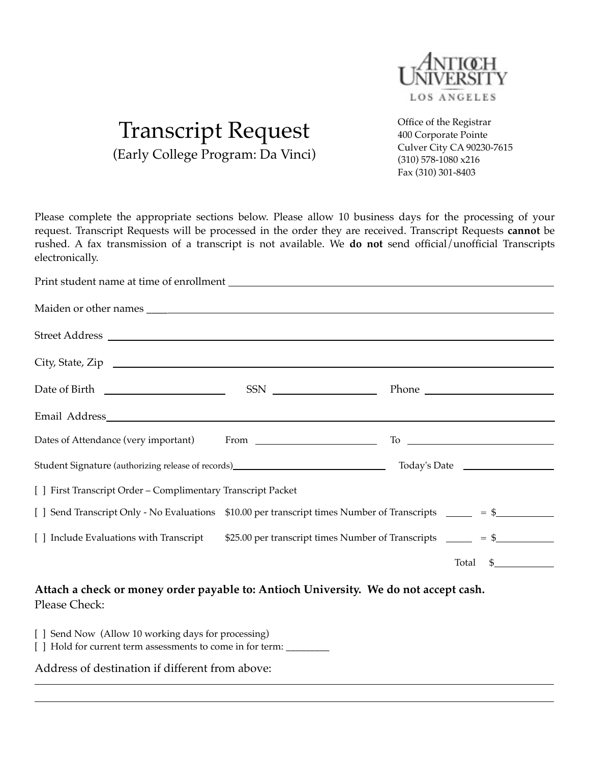

## Transcript Request (Early College Program: Da Vinci)

Office of the Registrar 400 Corporate Pointe Culver City CA 90230-7615 (310) 578-1080 x216 Fax (310) 301-8403

Please complete the appropriate sections below. Please allow 10 business days for the processing of your request. Transcript Requests will be processed in the order they are received. Transcript Requests **cannot** be rushed. A fax transmission of a transcript is not available. We **do not** send official/unofficial Transcripts electronically.

| City, State, Zip                                                                                                                                                                                                               |                                                                                                                    |                                                                                                                                               |  |  |  |
|--------------------------------------------------------------------------------------------------------------------------------------------------------------------------------------------------------------------------------|--------------------------------------------------------------------------------------------------------------------|-----------------------------------------------------------------------------------------------------------------------------------------------|--|--|--|
|                                                                                                                                                                                                                                |                                                                                                                    |                                                                                                                                               |  |  |  |
|                                                                                                                                                                                                                                |                                                                                                                    |                                                                                                                                               |  |  |  |
|                                                                                                                                                                                                                                |                                                                                                                    | $\Gamma$ o $\Gamma$                                                                                                                           |  |  |  |
| Student Signature (authorizing release of records) [11] Today's Date [12] Today's Date [13] Today's Date [13] Today's Date [13] Today's Date [13] Today's Date [13] Today's Date [13] Today's Date [13] Today's Date [13] Toda |                                                                                                                    |                                                                                                                                               |  |  |  |
| [ ] First Transcript Order - Complimentary Transcript Packet                                                                                                                                                                   |                                                                                                                    |                                                                                                                                               |  |  |  |
|                                                                                                                                                                                                                                | [ ] Send Transcript Only - No Evaluations \$10.00 per transcript times Number of Transcripts ______ = \$__________ |                                                                                                                                               |  |  |  |
| [ ] Include Evaluations with Transcript $$25.00$ per transcript times Number of Transcripts $\_\_\_\_$ = \$                                                                                                                    |                                                                                                                    |                                                                                                                                               |  |  |  |
|                                                                                                                                                                                                                                |                                                                                                                    | $\begin{array}{c} \n\text{\normalsize{$\$}}\\ \n\text{\normalsize{$\mathcal{S}$}}\\ \n\text{\normalsize{$\mathcal{S}$}} \end{array}$<br>Total |  |  |  |

**Attach a check or money order payable to: Antioch University. We do not accept cash.** Please Check:

[ ] Send Now (Allow 10 working days for processing) [ ] Hold for current term assessments to come in for term:  $\_\_$ 

Address of destination if different from above: